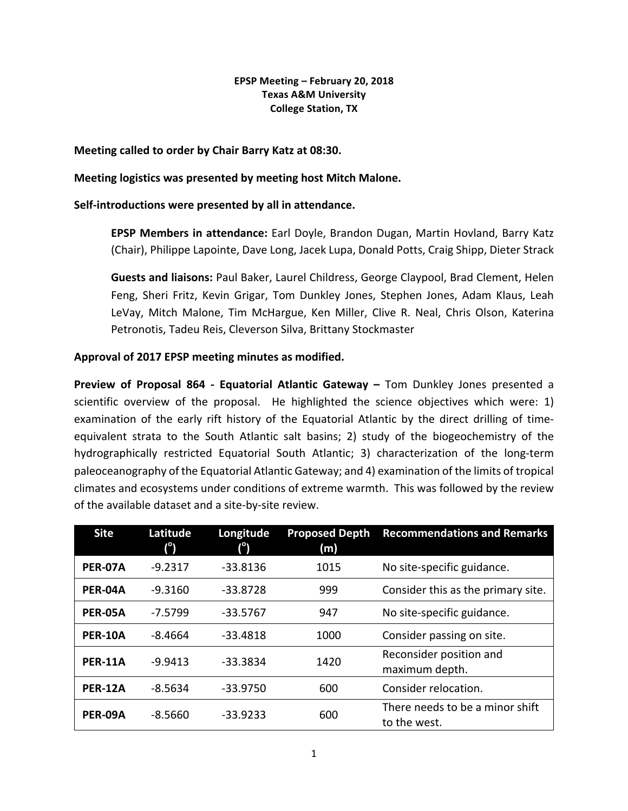### **EPSP Meeting – February 20, 2018 Texas A&M University College Station, TX**

### **Meeting called to order by Chair Barry Katz at 08:30.**

# **Meeting logistics was presented by meeting host Mitch Malone.**

# **Self-introductions were presented by all in attendance.**

**EPSP Members in attendance:** Earl Doyle, Brandon Dugan, Martin Hovland, Barry Katz (Chair), Philippe Lapointe, Dave Long, Jacek Lupa, Donald Potts, Craig Shipp, Dieter Strack

**Guests and liaisons:** Paul Baker, Laurel Childress, George Claypool, Brad Clement, Helen Feng, Sheri Fritz, Kevin Grigar, Tom Dunkley Jones, Stephen Jones, Adam Klaus, Leah LeVay, Mitch Malone, Tim McHargue, Ken Miller, Clive R. Neal, Chris Olson, Katerina Petronotis, Tadeu Reis, Cleverson Silva, Brittany Stockmaster

# **Approval of 2017 EPSP meeting minutes as modified.**

**Preview of Proposal 864 - Equatorial Atlantic Gateway – Tom Dunkley Jones presented a** scientific overview of the proposal. He highlighted the science objectives which were: 1) examination of the early rift history of the Equatorial Atlantic by the direct drilling of timeequivalent strata to the South Atlantic salt basins; 2) study of the biogeochemistry of the hydrographically restricted Equatorial South Atlantic; 3) characterization of the long-term paleoceanography of the Equatorial Atlantic Gateway; and 4) examination of the limits of tropical climates and ecosystems under conditions of extreme warmth. This was followed by the review of the available dataset and a site-by-site review.

| <b>Site</b>    | Latitude  | Longitude<br>ι۹ | <b>Proposed Depth</b><br>(m) | <b>Recommendations and Remarks</b>              |
|----------------|-----------|-----------------|------------------------------|-------------------------------------------------|
| PER-07A        | $-9.2317$ | $-33.8136$      | 1015                         | No site-specific guidance.                      |
| PER-04A        | $-9.3160$ | $-33.8728$      | 999                          | Consider this as the primary site.              |
| <b>PER-05A</b> | $-7.5799$ | $-33.5767$      | 947                          | No site-specific guidance.                      |
| PER-10A        | -8.4664   | $-33.4818$      | 1000                         | Consider passing on site.                       |
| <b>PER-11A</b> | $-9.9413$ | $-33.3834$      | 1420                         | Reconsider position and<br>maximum depth.       |
| <b>PER-12A</b> | $-8.5634$ | $-33.9750$      | 600                          | Consider relocation.                            |
| PER-09A        | $-8.5660$ | $-33.9233$      | 600                          | There needs to be a minor shift<br>to the west. |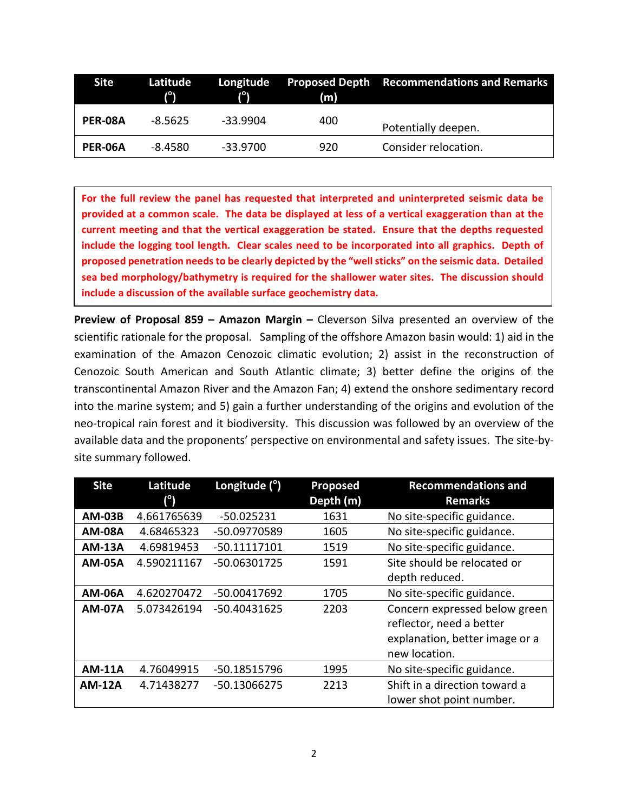| Site    | $\mathbf{I}^{\circ}$ | $(^\circ)$ | (m) | Latitude Longitude Proposed Depth Recommendations and Remarks |
|---------|----------------------|------------|-----|---------------------------------------------------------------|
| PER-08A | $-8.5625$            | $-33.9904$ | 400 | Potentially deepen.                                           |
| PER-06A | -8.4580              | -33.9700   | 920 | Consider relocation.                                          |

For the full review the panel has requested that interpreted and uninterpreted seismic data be provided at a common scale. The data be displayed at less of a vertical exaggeration than at the current meeting and that the vertical exaggeration be stated. Ensure that the depths requested include the logging tool length. Clear scales need to be incorporated into all graphics. Depth of proposed penetration needs to be clearly depicted by the "well sticks" on the seismic data. Detailed sea bed morphology/bathymetry is required for the shallower water sites. The discussion should include a discussion of the available surface geochemistry data.

**Preview of Proposal 859 – Amazon Margin** – Cleverson Silva presented an overview of the scientific rationale for the proposal. Sampling of the offshore Amazon basin would: 1) aid in the examination of the Amazon Cenozoic climatic evolution; 2) assist in the reconstruction of Cenozoic South American and South Atlantic climate; 3) better define the origins of the transcontinental Amazon River and the Amazon Fan; 4) extend the onshore sedimentary record into the marine system; and 5) gain a further understanding of the origins and evolution of the neo-tropical rain forest and it biodiversity. This discussion was followed by an overview of the available data and the proponents' perspective on environmental and safety issues. The site-bysite summary followed.

| <b>Site</b>   | Latitude    | Longitude $(°)$ | Proposed  | <b>Recommendations and</b>     |
|---------------|-------------|-----------------|-----------|--------------------------------|
|               | $(^\circ)$  |                 | Depth (m) | <b>Remarks</b>                 |
| <b>AM-03B</b> | 4.661765639 | $-50.025231$    | 1631      | No site-specific guidance.     |
| <b>AM-08A</b> | 4.68465323  | -50.09770589    | 1605      | No site-specific guidance.     |
| <b>AM-13A</b> | 4.69819453  | -50.11117101    | 1519      | No site-specific guidance.     |
| <b>AM-05A</b> | 4.590211167 | -50.06301725    | 1591      | Site should be relocated or    |
|               |             |                 |           | depth reduced.                 |
| <b>AM-06A</b> | 4.620270472 | -50.00417692    | 1705      | No site-specific guidance.     |
| <b>AM-07A</b> | 5.073426194 | -50.40431625    | 2203      | Concern expressed below green  |
|               |             |                 |           | reflector, need a better       |
|               |             |                 |           | explanation, better image or a |
|               |             |                 |           | new location.                  |
| <b>AM-11A</b> | 4.76049915  | -50.18515796    | 1995      | No site-specific guidance.     |
| <b>AM-12A</b> | 4.71438277  | -50.13066275    | 2213      | Shift in a direction toward a  |
|               |             |                 |           | lower shot point number.       |